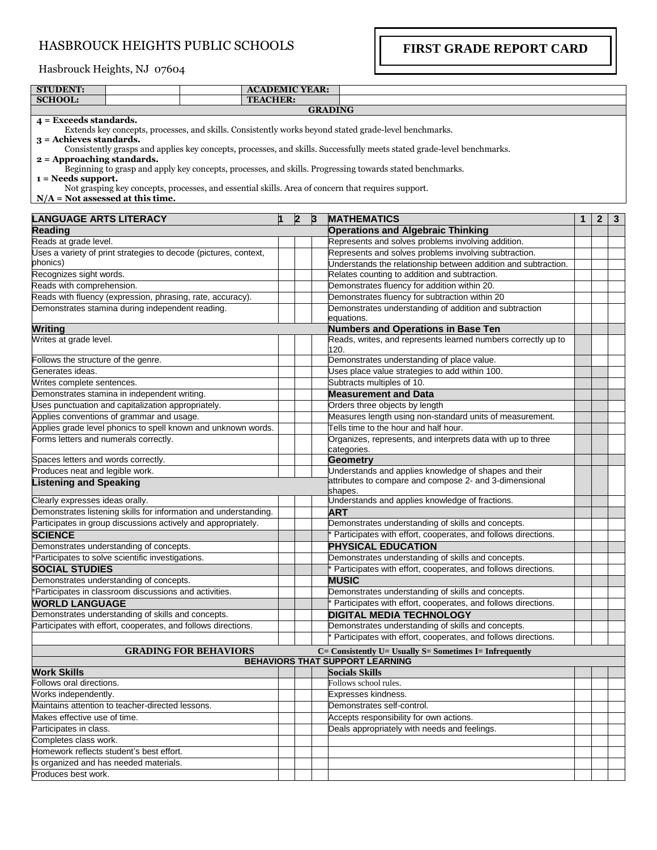## HASBROUCK HEIGHTS PUBLIC SCHOOLS

**FIRST GRADE REPORT CARD**

## Hasbrouck Heights, NJ 07604

| <b>STUDENT:</b>                                            |                                                               |                                                                  | <b>ACADEMIC YEAR:</b> |              |                                                |                                                                                                                        |   |                |   |
|------------------------------------------------------------|---------------------------------------------------------------|------------------------------------------------------------------|-----------------------|--------------|------------------------------------------------|------------------------------------------------------------------------------------------------------------------------|---|----------------|---|
| <b>SCHOOL:</b>                                             |                                                               |                                                                  | <b>TEACHER:</b>       |              |                                                |                                                                                                                        |   |                |   |
|                                                            |                                                               |                                                                  |                       |              |                                                | <b>GRADING</b>                                                                                                         |   |                |   |
| 4 = Exceeds standards.<br>$3 =$ Achieves standards.        |                                                               |                                                                  |                       |              |                                                | Extends key concepts, processes, and skills. Consistently works beyond stated grade-level benchmarks.                  |   |                |   |
| $2 =$ Approaching standards.                               |                                                               |                                                                  |                       |              |                                                | Consistently grasps and applies key concepts, processes, and skills. Successfully meets stated grade-level benchmarks. |   |                |   |
|                                                            |                                                               |                                                                  |                       |              |                                                | Beginning to grasp and apply key concepts, processes, and skills. Progressing towards stated benchmarks.               |   |                |   |
| $1 = N$ eeds support.                                      | $N/A$ = Not assessed at this time.                            |                                                                  |                       |              |                                                | Not grasping key concepts, processes, and essential skills. Area of concern that requires support.                     |   |                |   |
| <b>LANGUAGE ARTS LITERACY</b>                              |                                                               |                                                                  |                       | $\mathbf{2}$ | 3                                              | <b>MATHEMATICS</b>                                                                                                     | 1 | $\overline{2}$ | 3 |
| <b>Reading</b>                                             |                                                               |                                                                  |                       |              |                                                | <b>Operations and Algebraic Thinking</b>                                                                               |   |                |   |
| Reads at grade level.                                      |                                                               |                                                                  |                       |              |                                                | Represents and solves problems involving addition.                                                                     |   |                |   |
|                                                            |                                                               | Uses a variety of print strategies to decode (pictures, context, |                       |              |                                                | Represents and solves problems involving subtraction.                                                                  |   |                |   |
| phonics)                                                   |                                                               |                                                                  |                       |              |                                                | Understands the relationship between addition and subtraction.                                                         |   |                |   |
| Recognizes sight words.                                    |                                                               |                                                                  |                       |              |                                                | Relates counting to addition and subtraction.                                                                          |   |                |   |
| Reads with comprehension.                                  |                                                               |                                                                  |                       |              |                                                | Demonstrates fluency for addition within 20.                                                                           |   |                |   |
| Reads with fluency (expression, phrasing, rate, accuracy). |                                                               |                                                                  |                       |              | Demonstrates fluency for subtraction within 20 |                                                                                                                        |   |                |   |
|                                                            | Demonstrates stamina during independent reading.              |                                                                  |                       |              |                                                | Demonstrates understanding of addition and subtraction                                                                 |   |                |   |
|                                                            |                                                               |                                                                  |                       |              |                                                | equations.                                                                                                             |   |                |   |
| <b>Writing</b>                                             |                                                               |                                                                  |                       |              |                                                | <b>Numbers and Operations in Base Ten</b>                                                                              |   |                |   |
| Writes at grade level.                                     |                                                               |                                                                  |                       |              |                                                | Reads, writes, and represents learned numbers correctly up to<br>120.                                                  |   |                |   |
| Follows the structure of the genre.                        |                                                               |                                                                  |                       |              |                                                | Demonstrates understanding of place value.                                                                             |   |                |   |
| Generates ideas.                                           |                                                               |                                                                  |                       |              |                                                | Uses place value strategies to add within 100.                                                                         |   |                |   |
| Writes complete sentences.                                 |                                                               |                                                                  |                       |              |                                                | Subtracts multiples of 10.                                                                                             |   |                |   |
|                                                            | Demonstrates stamina in independent writing.                  |                                                                  |                       |              |                                                | <b>Measurement and Data</b>                                                                                            |   |                |   |
|                                                            | Uses punctuation and capitalization appropriately.            |                                                                  |                       |              |                                                | Orders three objects by length                                                                                         |   |                |   |
|                                                            | Applies conventions of grammar and usage.                     |                                                                  |                       |              |                                                | Measures length using non-standard units of measurement.                                                               |   |                |   |
|                                                            |                                                               | Applies grade level phonics to spell known and unknown words.    |                       |              |                                                | Tells time to the hour and half hour.                                                                                  |   |                |   |
| Forms letters and numerals correctly.                      |                                                               |                                                                  |                       |              |                                                | Organizes, represents, and interprets data with up to three<br>categories.                                             |   |                |   |
| Spaces letters and words correctly.                        |                                                               |                                                                  |                       |              |                                                | <b>Geometry</b>                                                                                                        |   |                |   |
| Produces neat and legible work.                            |                                                               |                                                                  |                       |              |                                                | Understands and applies knowledge of shapes and their                                                                  |   |                |   |
| <b>Listening and Speaking</b>                              |                                                               |                                                                  |                       |              |                                                | attributes to compare and compose 2- and 3-dimensional<br>shapes.                                                      |   |                |   |
| Clearly expresses ideas orally.                            |                                                               |                                                                  |                       |              |                                                | Understands and applies knowledge of fractions.                                                                        |   |                |   |
|                                                            |                                                               | Demonstrates listening skills for information and understanding. |                       |              |                                                | <b>ART</b>                                                                                                             |   |                |   |
|                                                            |                                                               | Participates in group discussions actively and appropriately.    |                       |              |                                                | Demonstrates understanding of skills and concepts.                                                                     |   |                |   |
| <b>SCIENCE</b>                                             |                                                               |                                                                  |                       |              |                                                | Participates with effort, cooperates, and follows directions.                                                          |   |                |   |
|                                                            | Demonstrates understanding of concepts.                       |                                                                  |                       |              |                                                | <b>PHYSICAL EDUCATION</b>                                                                                              |   |                |   |
|                                                            | *Participates to solve scientific investigations.             |                                                                  |                       |              |                                                | Demonstrates understanding of skills and concepts.                                                                     |   |                |   |
| <b>SOCIAL STUDIES</b>                                      |                                                               |                                                                  |                       |              |                                                | Participates with effort, cooperates, and follows directions.                                                          |   |                |   |
|                                                            | Demonstrates understanding of concepts.                       |                                                                  |                       |              |                                                | <b>MUSIC</b>                                                                                                           |   |                |   |
|                                                            | *Participates in classroom discussions and activities.        |                                                                  |                       |              |                                                | Demonstrates understanding of skills and concepts.                                                                     |   |                |   |
| <b>WORLD LANGUAGE</b>                                      |                                                               |                                                                  |                       |              |                                                | Participates with effort, cooperates, and follows directions.                                                          |   |                |   |
|                                                            | Demonstrates understanding of skills and concepts.            |                                                                  |                       |              |                                                | <b>DIGITAL MEDIA TECHNOLOGY</b>                                                                                        |   |                |   |
|                                                            | Participates with effort, cooperates, and follows directions. |                                                                  |                       |              |                                                | Demonstrates understanding of skills and concepts.                                                                     |   |                |   |
|                                                            |                                                               |                                                                  |                       |              |                                                | Participates with effort, cooperates, and follows directions.                                                          |   |                |   |
|                                                            |                                                               | <b>GRADING FOR BEHAVIORS</b>                                     |                       |              |                                                | $C =$ Consistently U= Usually S= Sometimes I= Infrequently                                                             |   |                |   |
| <b>Work Skills</b>                                         |                                                               |                                                                  |                       |              |                                                | BEHAVIORS THAT SUPPORT LEARNING<br><b>Socials Skills</b>                                                               |   |                |   |
| Follows oral directions.                                   |                                                               |                                                                  |                       |              |                                                | Follows school rules.                                                                                                  |   |                |   |
| Works independently.                                       |                                                               |                                                                  |                       |              |                                                | Expresses kindness.                                                                                                    |   |                |   |
|                                                            | Maintains attention to teacher-directed lessons.              |                                                                  |                       |              |                                                | Demonstrates self-control.                                                                                             |   |                |   |
| Makes effective use of time.                               |                                                               |                                                                  |                       |              |                                                | Accepts responsibility for own actions.                                                                                |   |                |   |
| Participates in class.                                     |                                                               |                                                                  |                       |              |                                                | Deals appropriately with needs and feelings.                                                                           |   |                |   |
| Completes class work.                                      |                                                               |                                                                  |                       |              |                                                |                                                                                                                        |   |                |   |
|                                                            | Homework reflects student's best effort.                      |                                                                  |                       |              |                                                |                                                                                                                        |   |                |   |
|                                                            | Is organized and has needed materials.                        |                                                                  |                       |              |                                                |                                                                                                                        |   |                |   |
| Produces best work.                                        |                                                               |                                                                  |                       |              |                                                |                                                                                                                        |   |                |   |
|                                                            |                                                               |                                                                  |                       |              |                                                |                                                                                                                        |   |                |   |